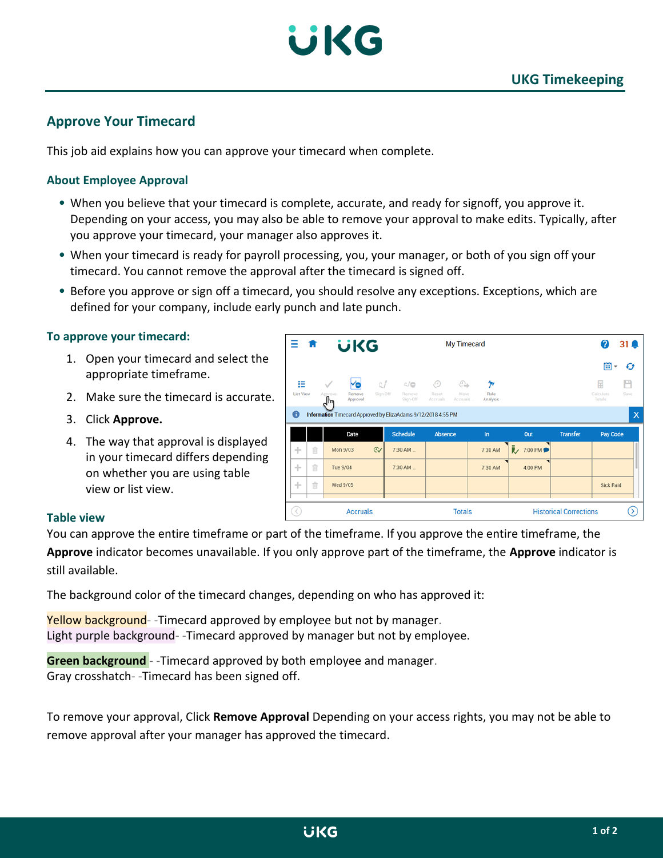

# **Approve Your Timecard**

This job aid explains how you can approve your timecard when complete.

## **About Employee Approval**

- When you believe that your timecard is complete, accurate, and ready for signoff, you approve it. Depending on your access, you may also be able to remove your approval to make edits. Typically, after you approve your timecard, your manager also approves it.
- When your timecard is ready for payroll processing, you, your manager, or both of you sign off your timecard. You cannot remove the approval after the timecard is signed off.
- Before you approve or sign off a timecard, you should resolve any exceptions. Exceptions, which are defined for your company, include early punch and late punch.

### **To approve your timecard:**

- 1. Open your timecard and select the appropriate timeframe.
- 2. Make sure the timecard is accurate.
- 3. Click **Approve.**
- 4. The way that approval is displayed in your timecard differs depending on whether you are using table view or list view.

| Ξ<br>$\sqrt{n}$                                                                          |    |                                     | <b>UKG</b> |                    |                                | My Timecard                     |                                     |                 | (?                            | 3    |  |  |
|------------------------------------------------------------------------------------------|----|-------------------------------------|------------|--------------------|--------------------------------|---------------------------------|-------------------------------------|-----------------|-------------------------------|------|--|--|
|                                                                                          |    |                                     |            |                    |                                |                                 |                                     |                 | 曲<br>$\overline{\phantom{a}}$ | O    |  |  |
| 拦                                                                                        |    | Ye<br>$\checkmark$                  | c I        | c/c                | ⊕                              | ⊕<br>匆                          |                                     |                 | 曱                             | М    |  |  |
| <b>List View</b>                                                                         |    | Approve<br>Remove<br>Approval<br>᠊ᠰ | Sign-Off   | Remove<br>Sign-Off | Reset<br>Accruals.<br>Accruals | <b>Rule</b><br>Move<br>Analysis |                                     |                 | Calculate<br>Totals           | Save |  |  |
| $\mathbf 0$<br>$\times$<br>Information Timecard Approved by ElizaAdams 9/12/2018 4:55 PM |    |                                     |            |                    |                                |                                 |                                     |                 |                               |      |  |  |
|                                                                                          |    | Date                                |            | <b>Schedule</b>    | Absence                        | $\ln$                           | Out                                 | <b>Transfer</b> | Pay Code                      |      |  |  |
| ÷                                                                                        | ff | Mon 9/03                            | $\odot$    | $7:30$ AM          |                                | 7:30 AM                         | D 7:00 PM                           |                 |                               |      |  |  |
| ÷                                                                                        | 亩  | Tue 9/04                            |            | $7:30$ AM          |                                | 7:30 AM                         | $\overline{\phantom{a}}$<br>4:00 PM |                 |                               |      |  |  |
| ÷                                                                                        | 宜  | Wed 9/05                            |            |                    |                                |                                 |                                     |                 | <b>Sick Paid</b>              |      |  |  |
|                                                                                          |    |                                     |            |                    |                                |                                 |                                     |                 |                               |      |  |  |
| K)<br><b>Accruals</b>                                                                    |    |                                     |            |                    | <b>Totals</b>                  |                                 | <b>Historical Corrections</b>       |                 |                               |      |  |  |

### **Table view**

You can approve the entire timeframe or part of the timeframe. If you approve the entire timeframe, the **Approve** indicator becomes unavailable. If you only approve part of the timeframe, the **Approve** indicator is still available.

The background color of the timecard changes, depending on who has approved it:

Yellow background--Timecard approved by employee but not by manager. Light purple background- -Timecard approved by manager but not by employee.

**Green background** - -Timecard approved by both employee and manager. Gray crosshatch- -Timecard has been signed off.

To remove your approval, Click **Remove Approval** Depending on your access rights, you may not be able to remove approval after your manager has approved the timecard.